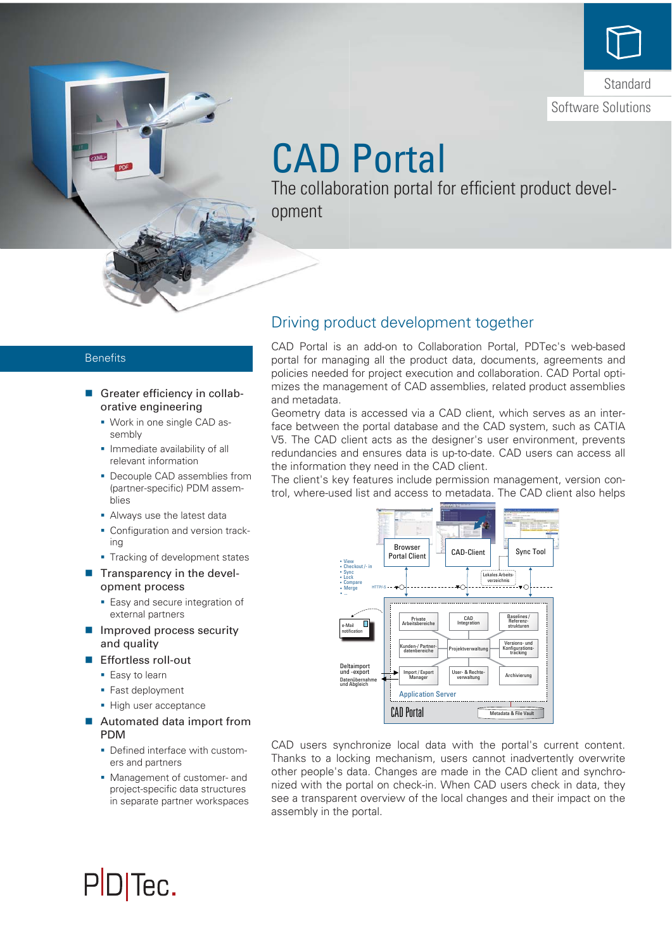

# CAD Portal

The collaboration portal for efficient product development

### **Benefits**

- Greater efficiency in collaborative engineering
	- Work in one single CAD assembly
	- **Immediate availability of all** relevant information
	- **Decouple CAD assemblies from** (partner-specific) PDM assemblies
	- Always use the latest data
	- **Configuration and version track**ing
	- Tracking of development states
- $\blacksquare$  Transparency in the development process
	- **Easy and secure integration of** external partners
- $\blacksquare$  Improved process security and quality
- **Effortless roll-out** 
	- **Easy to learn**
	- Fast deployment
	- High user acceptance
- Automated data import from PDM
	- Defined interface with customers and partners
	- **Management of customer- and** project-specific data structures in separate partner workspaces

# Driving product development together

CAD Portal is an add-on to Collaboration Portal, PDTec's web-based portal for managing all the product data, documents, agreements and policies needed for project execution and collaboration. CAD Portal optimizes the management of CAD assemblies, related product assemblies and metadata.

Geometry data is accessed via a CAD client, which serves as an interface between the portal database and the CAD system, such as CATIA V5. The CAD client acts as the designer's user environment, prevents redundancies and ensures data is up-to-date. CAD users can access all the information they need in the CAD client.

The client's key features include permission management, version control, where-used list and access to metadata. The CAD client also helps



CAD users synchronize local data with the portal's current content. Thanks to a locking mechanism, users cannot inadvertently overwrite other people's data. Changes are made in the CAD client and synchronized with the portal on check-in. When CAD users check in data, they see a transparent overview of the local changes and their impact on the assembly in the portal.

# PD<sub>Tec</sub>.